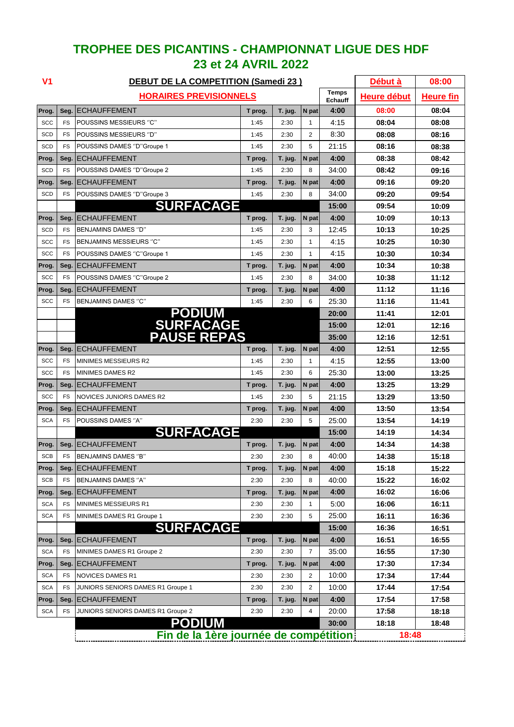| V <sub>1</sub>      | <b>DEBUT DE LA COMPETITION (Samedi 23)</b> |                                             |                 |                 |            |                         |                | 08:00            |
|---------------------|--------------------------------------------|---------------------------------------------|-----------------|-----------------|------------|-------------------------|----------------|------------------|
|                     | <b>HORAIRES PREVISIONNELS</b>              |                                             |                 |                 |            | <b>Temps</b><br>Echauff | Heure début    | <b>Heure fin</b> |
| Prog.               | Seg.                                       | IECHAUFFEMENT                               | T prog.         | T. jug.         | N pat      | 4:00                    | 08:00          | 08:04            |
| <b>SCC</b>          | <b>FS</b>                                  | POUSSINS MESSIEURS "C"                      | 1:45            | 2:30            | 1          | 4:15                    | 08:04          | 08:08            |
| SCD                 | <b>FS</b>                                  | <b>POUSSINS MESSIEURS "D"</b>               | 1:45            | 2:30            | 2          | 8:30                    | 08:08          | 08:16            |
| SCD                 | <b>FS</b>                                  | POUSSINS DAMES "D"Groupe 1                  | 1:45            | 2:30            | 5          | 21:15                   | 08:16          | 08:38            |
| Prog.               | Seg.                                       | <b>ECHAUFFEMENT</b>                         | T prog.         | T. jug.         | N pat      | 4:00                    | 08:38          | 08:42            |
| <b>SCD</b>          | <b>FS</b>                                  | POUSSINS DAMES "D"Groupe 2                  | 1:45            | 2:30            | 8          | 34:00                   | 08:42          | 09:16            |
| Prog.               | Seg.                                       | <b>ECHAUFFEMENT</b>                         | T prog.         | T. jug.         | N pat      | 4:00                    | 09:16          | 09:20            |
| SCD                 | <b>FS</b>                                  | POUSSINS DAMES "D"Groupe 3                  | 1:45            | 2:30            | 8          | 34:00                   | 09:20          | 09:54            |
|                     |                                            | <b>SURFACAGE</b>                            |                 |                 |            | 15:00                   | 09:54          | 10:09            |
| Prog.               | Seg.                                       | <b>ECHAUFFEMENT</b>                         | T prog.         | T. jug.         | N pat      | 4:00                    | 10:09          | 10:13            |
| SCD                 | <b>FS</b>                                  | BENJAMINS DAMES "D"                         | 1:45            | 2:30            | 3          | 12:45                   | 10:13          | 10:25            |
| SCC                 | <b>FS</b>                                  | <b>BENJAMINS MESSIEURS "C"</b>              | 1:45            | 2:30            | 1          | 4:15                    | 10:25          | 10:30            |
| SCC                 | <b>FS</b>                                  | POUSSINS DAMES "C"Groupe 1                  | 1:45            | 2:30            | 1          | 4:15                    | 10:30          | 10:34            |
| Prog.               | Seg.                                       | <b>ECHAUFFEMENT</b>                         | T prog.         | T. jug.         | N pat      | 4:00                    | 10:34          | 10:38            |
| <b>SCC</b>          | <b>FS</b>                                  | POUSSINS DAMES "C"Groupe 2                  | 1:45            | 2:30            | 8          | 34:00                   | 10:38          | 11:12            |
| Prog.               | Seg.                                       | <b>ECHAUFFEMENT</b>                         | T prog.         | T. jug.         | N pat      | 4:00                    | 11:12          | 11:16            |
| <b>SCC</b>          | <b>FS</b>                                  | BENJAMINS DAMES "C"                         | 1:45            | 2:30            | 6          | 25:30                   | 11:16          | 11:41            |
|                     |                                            | <b>PODIUM<br/>SURFACAGE<br/>PAUSE REPAS</b> |                 |                 |            | 20:00                   | 11:41          | 12:01            |
|                     |                                            |                                             |                 |                 |            | 15:00                   | 12:01          | 12:16            |
|                     |                                            |                                             |                 |                 |            | 35:00                   | 12:16          | 12:51            |
| Prog.               | Seg.                                       | <b>ECHAUFFEMENT</b>                         | T prog.         | T. jug.         | N pat      | 4:00                    | 12:51          | 12:55            |
| <b>SCC</b>          | <b>FS</b>                                  | <b>MINIMES MESSIEURS R2</b>                 | 1:45            | 2:30            | 1          | 4:15                    | 12:55          | 13:00            |
| SCC                 | <b>FS</b>                                  | MINIMES DAMES R2<br><b>ECHAUFFEMENT</b>     | 1:45            | 2:30            | 6          | 25:30                   | 13:00          | 13:25            |
| Prog.<br><b>SCC</b> | Seg.<br><b>FS</b>                          | NOVICES JUNIORS DAMES R2                    | T prog.<br>1:45 | T. jug.<br>2:30 | N pat<br>5 | 4:00<br>21:15           | 13:25          | 13:29            |
|                     |                                            | <b>ECHAUFFEMENT</b>                         |                 |                 |            | 4:00                    | 13:29<br>13:50 | 13:50            |
| Prog.<br><b>SCA</b> | Seg.<br><b>FS</b>                          | POUSSINS DAMES "A"                          | T prog.<br>2:30 | T. jug.<br>2:30 | N pat<br>5 | 25:00                   | 13:54          | 13:54<br>14:19   |
|                     |                                            | <b>SURFACAGE</b>                            |                 |                 |            | 15:00                   | 14:19          | 14:34            |
| Prog.               | Seg.                                       | <b>ECHAUFFEMENT</b>                         | T prog.         | T. jug.         | N pat      | 4:00                    | 14:34          | 14:38            |
| SCB                 | <b>FS</b>                                  | BENJAMINS DAMES "B"                         | 2:30            | 2:30            | 8          | 40:00                   | 14:38          | 15:18            |
| Prog.               | Seg.                                       | <b>IECHAUFFEMENT</b>                        | T prog.         | T. jug.         | N pat      | 4:00                    | 15:18          | 15:22            |
| <b>SCB</b>          | FS                                         | BENJAMINS DAMES "A"                         | 2:30            | 2:30            | 8          | 40:00                   | 15:22          | 16:02            |
| Prog.               | Seg.                                       | <b>ECHAUFFEMENT</b>                         | T prog.         | T. jug.         | N pat      | 4:00                    | 16:02          | 16:06            |
| <b>SCA</b>          | <b>FS</b>                                  | MINIMES MESSIEURS R1                        | 2:30            | 2:30            | 1          | 5:00                    | 16:06          | 16:11            |
| <b>SCA</b>          | FS                                         | MINIMES DAMES R1 Groupe 1                   | 2:30            | 2:30            | 5          | 25:00                   | 16:11          | 16:36            |
|                     |                                            | <b>SURFACAGE</b>                            |                 |                 |            | 15:00                   | 16:36          | 16:51            |
| Prog.               | Seg.                                       | <b>ECHAUFFEMENT</b>                         | T prog.         | T. jug.         | N pat      | 4:00                    | 16:51          | 16:55            |
| <b>SCA</b>          | FS                                         | MINIMES DAMES R1 Groupe 2                   | 2:30            | 2:30            | 7          | 35:00                   | 16:55          | 17:30            |
| Prog.               | Seg.                                       | <b>ECHAUFFEMENT</b>                         | T prog.         | T. jug.         | N pat      | 4:00                    | 17:30          | 17:34            |
| <b>SCA</b>          | <b>FS</b>                                  | <b>NOVICES DAMES R1</b>                     | 2:30            | 2:30            | 2          | 10:00                   | 17:34          | 17:44            |
| <b>SCA</b>          | <b>FS</b>                                  | JUNIORS SENIORS DAMES R1 Groupe 1           | 2:30            | 2:30            | 2          | 10:00                   | 17:44          | 17:54            |
| Prog.               | Seg.                                       | <b>ECHAUFFEMENT</b>                         | T prog.         | T. jug.         | N pat      | 4:00                    | 17:54          | 17:58            |
| <b>SCA</b>          | <b>FS</b>                                  | JUNIORS SENIORS DAMES R1 Groupe 2           | 2:30            | 2:30            | 4          | 20:00                   | 17:58          | 18:18            |
|                     |                                            | <b>PODIUM</b>                               |                 |                 |            | 30:00                   | 18:18          | 18:48            |
|                     |                                            | Fin de la 1ère journée de compétition       |                 | 18:48           |            |                         |                |                  |

## **TROPHEE DES PICANTINS - CHAMPIONNAT LIGUE DES HDF 23 et 24 AVRIL 2022**